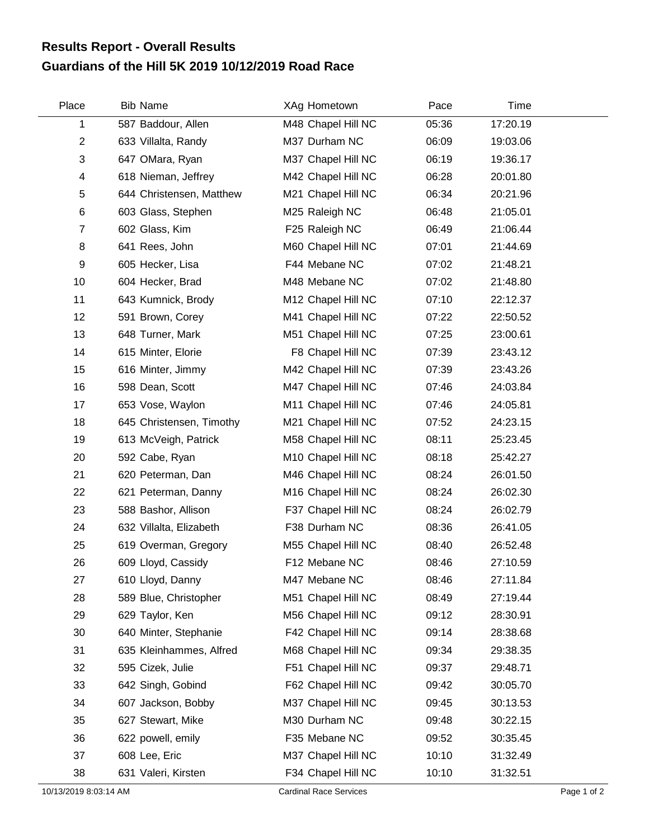## **Guardians of the Hill 5K 2019 10/12/2019 Road Race Results Report - Overall Results**

| Place          | <b>Bib Name</b>          | XAg Hometown       | Pace  | Time     |  |
|----------------|--------------------------|--------------------|-------|----------|--|
| 1              | 587 Baddour, Allen       | M48 Chapel Hill NC | 05:36 | 17:20.19 |  |
| $\overline{2}$ | 633 Villalta, Randy      | M37 Durham NC      | 06:09 | 19:03.06 |  |
| 3              | 647 OMara, Ryan          | M37 Chapel Hill NC | 06:19 | 19:36.17 |  |
| 4              | 618 Nieman, Jeffrey      | M42 Chapel Hill NC | 06:28 | 20:01.80 |  |
| 5              | 644 Christensen, Matthew | M21 Chapel Hill NC | 06:34 | 20:21.96 |  |
| 6              | 603 Glass, Stephen       | M25 Raleigh NC     | 06:48 | 21:05.01 |  |
| $\overline{7}$ | 602 Glass, Kim           | F25 Raleigh NC     | 06:49 | 21:06.44 |  |
| 8              | 641 Rees, John           | M60 Chapel Hill NC | 07:01 | 21:44.69 |  |
| 9              | 605 Hecker, Lisa         | F44 Mebane NC      | 07:02 | 21:48.21 |  |
| 10             | 604 Hecker, Brad         | M48 Mebane NC      | 07:02 | 21:48.80 |  |
| 11             | 643 Kumnick, Brody       | M12 Chapel Hill NC | 07:10 | 22:12.37 |  |
| 12             | 591 Brown, Corey         | M41 Chapel Hill NC | 07:22 | 22:50.52 |  |
| 13             | 648 Turner, Mark         | M51 Chapel Hill NC | 07:25 | 23:00.61 |  |
| 14             | 615 Minter, Elorie       | F8 Chapel Hill NC  | 07:39 | 23:43.12 |  |
| 15             | 616 Minter, Jimmy        | M42 Chapel Hill NC | 07:39 | 23:43.26 |  |
| 16             | 598 Dean, Scott          | M47 Chapel Hill NC | 07:46 | 24:03.84 |  |
| 17             | 653 Vose, Waylon         | M11 Chapel Hill NC | 07:46 | 24:05.81 |  |
| 18             | 645 Christensen, Timothy | M21 Chapel Hill NC | 07:52 | 24:23.15 |  |
| 19             | 613 McVeigh, Patrick     | M58 Chapel Hill NC | 08:11 | 25:23.45 |  |
| 20             | 592 Cabe, Ryan           | M10 Chapel Hill NC | 08:18 | 25:42.27 |  |
| 21             | 620 Peterman, Dan        | M46 Chapel Hill NC | 08:24 | 26:01.50 |  |
| 22             | 621 Peterman, Danny      | M16 Chapel Hill NC | 08:24 | 26:02.30 |  |
| 23             | 588 Bashor, Allison      | F37 Chapel Hill NC | 08:24 | 26:02.79 |  |
| 24             | 632 Villalta, Elizabeth  | F38 Durham NC      | 08:36 | 26:41.05 |  |
| 25             | 619 Overman, Gregory     | M55 Chapel Hill NC | 08:40 | 26:52.48 |  |
| 26             | 609 Lloyd, Cassidy       | F12 Mebane NC      | 08:46 | 27:10.59 |  |
| 27             | 610 Lloyd, Danny         | M47 Mebane NC      | 08:46 | 27:11.84 |  |
| 28             | 589 Blue, Christopher    | M51 Chapel Hill NC | 08:49 | 27:19.44 |  |
| 29             | 629 Taylor, Ken          | M56 Chapel Hill NC | 09:12 | 28:30.91 |  |
| 30             | 640 Minter, Stephanie    | F42 Chapel Hill NC | 09:14 | 28:38.68 |  |
| 31             | 635 Kleinhammes, Alfred  | M68 Chapel Hill NC | 09:34 | 29:38.35 |  |
| 32             | 595 Cizek, Julie         | F51 Chapel Hill NC | 09:37 | 29:48.71 |  |
| 33             | 642 Singh, Gobind        | F62 Chapel Hill NC | 09:42 | 30:05.70 |  |
| 34             | 607 Jackson, Bobby       | M37 Chapel Hill NC | 09:45 | 30:13.53 |  |
| 35             | 627 Stewart, Mike        | M30 Durham NC      | 09:48 | 30:22.15 |  |
| 36             | 622 powell, emily        | F35 Mebane NC      | 09:52 | 30:35.45 |  |
| 37             | 608 Lee, Eric            | M37 Chapel Hill NC | 10:10 | 31:32.49 |  |
| 38             | 631 Valeri, Kirsten      | F34 Chapel Hill NC | 10:10 | 31:32.51 |  |